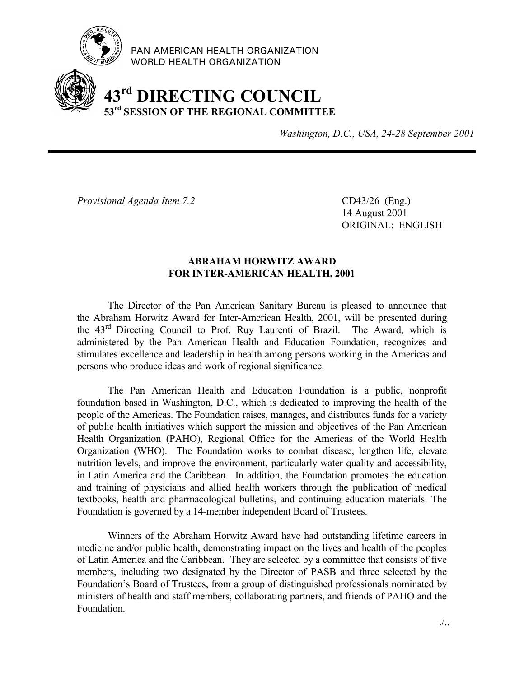

PAN AMERICAN HEALTH ORGANIZATION WORLD HEALTH ORGANIZATION

## **43rd DIRECTING COUNCIL 53rd SESSION OF THE REGIONAL COMMITTEE**

*Washington, D.C., USA, 24-28 September 2001*

*Provisional Agenda Item 7.2* CD43/26 (Eng.)

14 August 2001 ORIGINAL: ENGLISH

## **ABRAHAM HORWITZ AWARD FOR INTER-AMERICAN HEALTH, 2001**

The Director of the Pan American Sanitary Bureau is pleased to announce that the Abraham Horwitz Award for Inter-American Health, 2001, will be presented during the 43rd Directing Council to Prof. Ruy Laurenti of Brazil. The Award, which is administered by the Pan American Health and Education Foundation, recognizes and stimulates excellence and leadership in health among persons working in the Americas and persons who produce ideas and work of regional significance.

The Pan American Health and Education Foundation is a public, nonprofit foundation based in Washington, D.C., which is dedicated to improving the health of the people of the Americas. The Foundation raises, manages, and distributes funds for a variety of public health initiatives which support the mission and objectives of the Pan American Health Organization (PAHO), Regional Office for the Americas of the World Health Organization (WHO). The Foundation works to combat disease, lengthen life, elevate nutrition levels, and improve the environment, particularly water quality and accessibility, in Latin America and the Caribbean. In addition, the Foundation promotes the education and training of physicians and allied health workers through the publication of medical textbooks, health and pharmacological bulletins, and continuing education materials. The Foundation is governed by a 14-member independent Board of Trustees.

Winners of the Abraham Horwitz Award have had outstanding lifetime careers in medicine and/or public health, demonstrating impact on the lives and health of the peoples of Latin America and the Caribbean. They are selected by a committee that consists of five members, including two designated by the Director of PASB and three selected by the Foundation's Board of Trustees, from a group of distinguished professionals nominated by ministers of health and staff members, collaborating partners, and friends of PAHO and the Foundation.